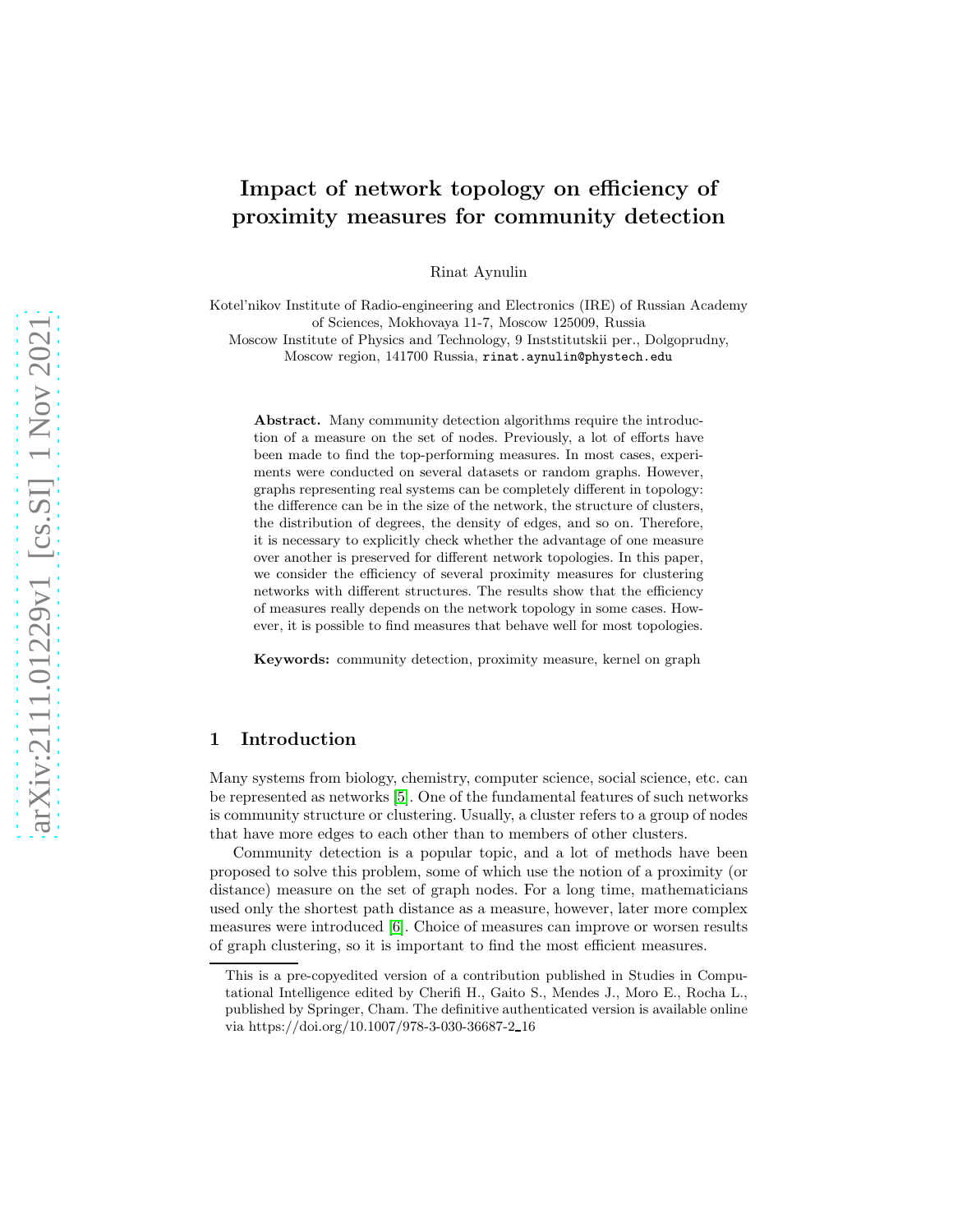# Impact of network topology on efficiency of proximity measures for community detection

Rinat Aynulin

Kotel'nikov Institute of Radio-engineering and Electronics (IRE) of Russian Academy of Sciences, Mokhovaya 11-7, Moscow 125009, Russia

Moscow Institute of Physics and Technology, 9 Inststitutskii per., Dolgoprudny, Moscow region, 141700 Russia, rinat.aynulin@phystech.edu

Abstract. Many community detection algorithms require the introduction of a measure on the set of nodes. Previously, a lot of efforts have been made to find the top-performing measures. In most cases, experiments were conducted on several datasets or random graphs. However, graphs representing real systems can be completely different in topology: the difference can be in the size of the network, the structure of clusters, the distribution of degrees, the density of edges, and so on. Therefore, it is necessary to explicitly check whether the advantage of one measure over another is preserved for different network topologies. In this paper, we consider the efficiency of several proximity measures for clustering networks with different structures. The results show that the efficiency of measures really depends on the network topology in some cases. However, it is possible to find measures that behave well for most topologies.

Keywords: community detection, proximity measure, kernel on graph

# 1 Introduction

Many systems from biology, chemistry, computer science, social science, etc. can be represented as networks [\[5\]](#page-9-0). One of the fundamental features of such networks is community structure or clustering. Usually, a cluster refers to a group of nodes that have more edges to each other than to members of other clusters.

Community detection is a popular topic, and a lot of methods have been proposed to solve this problem, some of which use the notion of a proximity (or distance) measure on the set of graph nodes. For a long time, mathematicians used only the shortest path distance as a measure, however, later more complex measures were introduced [\[6\]](#page-9-1). Choice of measures can improve or worsen results of graph clustering, so it is important to find the most efficient measures.

This is a pre-copyedited version of a contribution published in Studies in Computational Intelligence edited by Cherifi H., Gaito S., Mendes J., Moro E., Rocha L., published by Springer, Cham. The definitive authenticated version is available online via https://doi.org/10.1007/978-3-030-36687-2 16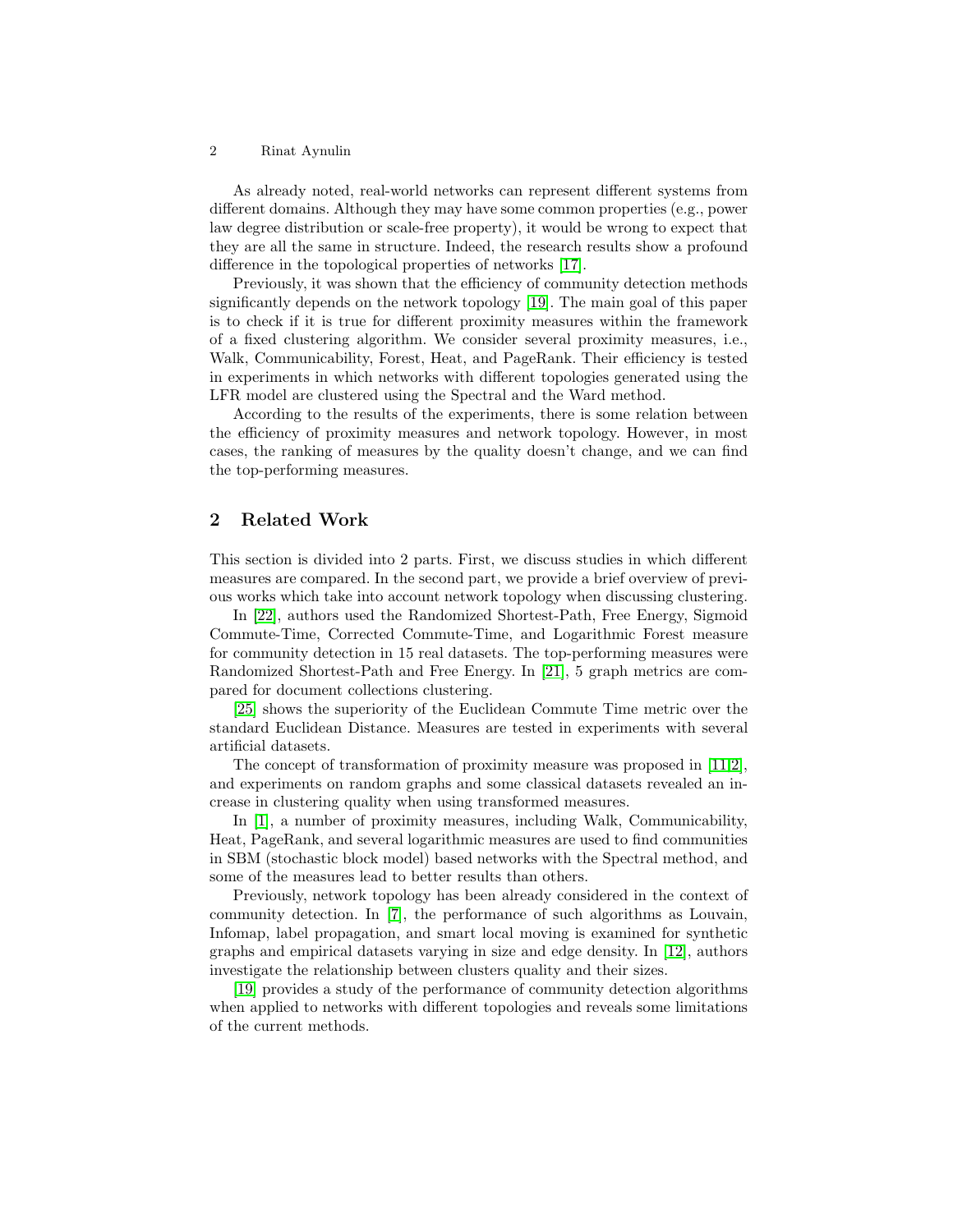#### 2 Rinat Aynulin

As already noted, real-world networks can represent different systems from different domains. Although they may have some common properties (e.g., power law degree distribution or scale-free property), it would be wrong to expect that they are all the same in structure. Indeed, the research results show a profound difference in the topological properties of networks [\[17\]](#page-9-2).

Previously, it was shown that the efficiency of community detection methods significantly depends on the network topology [\[19\]](#page-9-3). The main goal of this paper is to check if it is true for different proximity measures within the framework of a fixed clustering algorithm. We consider several proximity measures, i.e., Walk, Communicability, Forest, Heat, and PageRank. Their efficiency is tested in experiments in which networks with different topologies generated using the LFR model are clustered using the Spectral and the Ward method.

According to the results of the experiments, there is some relation between the efficiency of proximity measures and network topology. However, in most cases, the ranking of measures by the quality doesn't change, and we can find the top-performing measures.

## 2 Related Work

This section is divided into 2 parts. First, we discuss studies in which different measures are compared. In the second part, we provide a brief overview of previous works which take into account network topology when discussing clustering.

In [\[22\]](#page-9-4), authors used the Randomized Shortest-Path, Free Energy, Sigmoid Commute-Time, Corrected Commute-Time, and Logarithmic Forest measure for community detection in 15 real datasets. The top-performing measures were Randomized Shortest-Path and Free Energy. In [\[21\]](#page-9-5), 5 graph metrics are compared for document collections clustering.

[\[25\]](#page-10-0) shows the superiority of the Euclidean Commute Time metric over the standard Euclidean Distance. Measures are tested in experiments with several artificial datasets.

The concept of transformation of proximity measure was proposed in [\[11](#page-9-6)[,2\]](#page-8-0), and experiments on random graphs and some classical datasets revealed an increase in clustering quality when using transformed measures.

In [\[1\]](#page-8-1), a number of proximity measures, including Walk, Communicability, Heat, PageRank, and several logarithmic measures are used to find communities in SBM (stochastic block model) based networks with the Spectral method, and some of the measures lead to better results than others.

Previously, network topology has been already considered in the context of community detection. In [\[7\]](#page-9-7), the performance of such algorithms as Louvain, Infomap, label propagation, and smart local moving is examined for synthetic graphs and empirical datasets varying in size and edge density. In [\[12\]](#page-9-8), authors investigate the relationship between clusters quality and their sizes.

[\[19\]](#page-9-3) provides a study of the performance of community detection algorithms when applied to networks with different topologies and reveals some limitations of the current methods.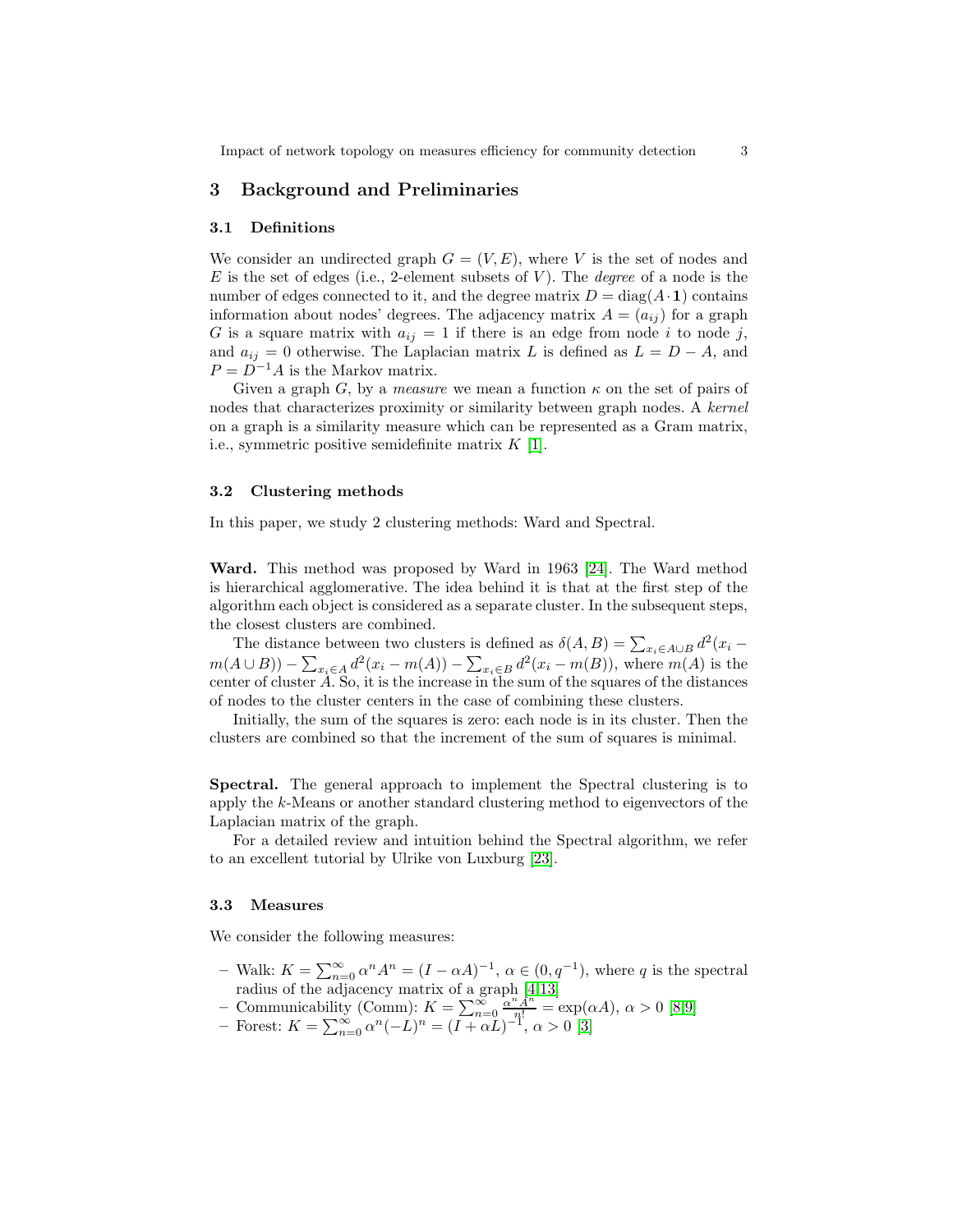## 3 Background and Preliminaries

#### 3.1 Definitions

We consider an undirected graph  $G = (V, E)$ , where V is the set of nodes and E is the set of edges (i.e., 2-element subsets of  $V$ ). The *degree* of a node is the number of edges connected to it, and the degree matrix  $D = diag(A \cdot 1)$  contains information about nodes' degrees. The adjacency matrix  $A = (a_{ij})$  for a graph G is a square matrix with  $a_{ij} = 1$  if there is an edge from node i to node j, and  $a_{ij} = 0$  otherwise. The Laplacian matrix L is defined as  $L = D - A$ , and  $P = D^{-1}A$  is the Markov matrix.

Given a graph G, by a *measure* we mean a function  $\kappa$  on the set of pairs of nodes that characterizes proximity or similarity between graph nodes. A kernel on a graph is a similarity measure which can be represented as a Gram matrix, i.e., symmetric positive semidefinite matrix  $K$  [\[1\]](#page-8-1).

#### 3.2 Clustering methods

In this paper, we study 2 clustering methods: Ward and Spectral.

Ward. This method was proposed by Ward in 1963 [\[24\]](#page-10-1). The Ward method is hierarchical agglomerative. The idea behind it is that at the first step of the algorithm each object is considered as a separate cluster. In the subsequent steps, the closest clusters are combined.

The distance between two clusters is defined as  $\delta(A, B) = \sum_{x_i \in A \cup B} d^2(x_i$  $m(A \cup B)) - \sum_{x_i \in A} d^2(x_i - m(A)) - \sum_{x_i \in B} d^2(x_i - m(B)),$  where  $m(A)$  is the center of cluster  $\tilde{A}$ . So, it is the increase in the sum of the squares of the distances of nodes to the cluster centers in the case of combining these clusters.

Initially, the sum of the squares is zero: each node is in its cluster. Then the clusters are combined so that the increment of the sum of squares is minimal.

Spectral. The general approach to implement the Spectral clustering is to apply the k-Means or another standard clustering method to eigenvectors of the Laplacian matrix of the graph.

For a detailed review and intuition behind the Spectral algorithm, we refer to an excellent tutorial by Ulrike von Luxburg [\[23\]](#page-9-9).

#### <span id="page-2-0"></span>3.3 Measures

We consider the following measures:

- Walk:  $K = \sum_{n=0}^{\infty} \alpha^n A^n = (I \alpha A)^{-1}, \alpha \in (0, q^{-1}),$  where q is the spectral radius of the adjacency matrix of a graph [\[4](#page-9-10)[,13\]](#page-9-11)
- Communicability (Comm):  $K = \sum_{n=0}^{\infty} \frac{\alpha^n A^n}{n!} = \exp(\alpha A), \ \alpha > 0$  [\[8,](#page-9-12)[9\]](#page-9-13)
- Forest:  $K = \sum_{n=0}^{\infty} \alpha^n (-L)^n = (I + \alpha L)^{-1}, \alpha > 0$  [\[3\]](#page-8-2)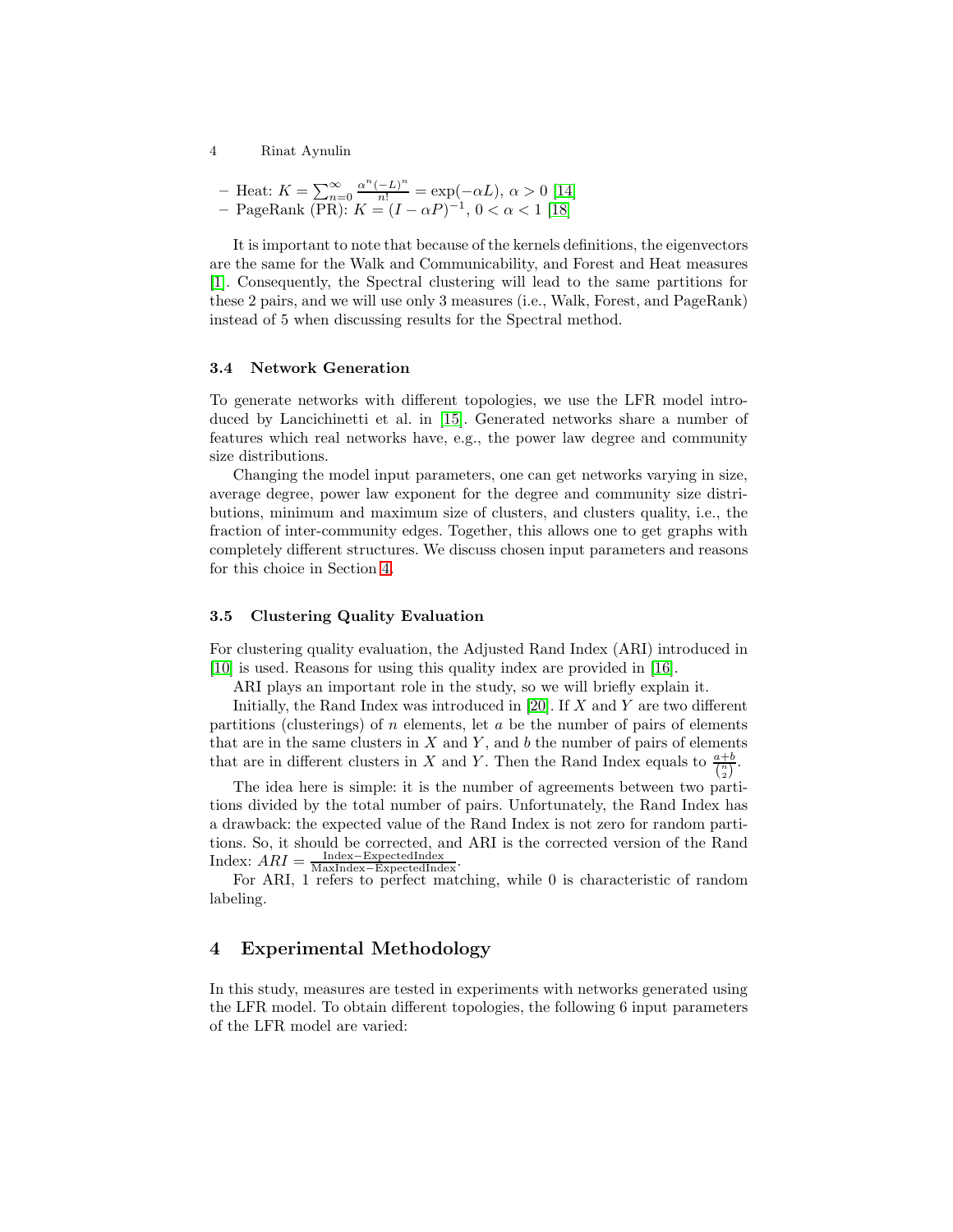4 Rinat Aynulin

- Heat: 
$$
K = \sum_{n=0}^{\infty} \frac{\alpha^n (-L)^n}{n!} = \exp(-\alpha L), \ \alpha > 0
$$
 [14]  
- PageRank (PR):  $K = (I - \alpha P)^{-1}, \ 0 < \alpha < 1$  [18]

It is important to note that because of the kernels definitions, the eigenvectors are the same for the Walk and Communicability, and Forest and Heat measures [\[1\]](#page-8-1). Consequently, the Spectral clustering will lead to the same partitions for these 2 pairs, and we will use only 3 measures (i.e., Walk, Forest, and PageRank) instead of 5 when discussing results for the Spectral method.

#### 3.4 Network Generation

To generate networks with different topologies, we use the LFR model introduced by Lancichinetti et al. in [\[15\]](#page-9-16). Generated networks share a number of features which real networks have, e.g., the power law degree and community size distributions.

Changing the model input parameters, one can get networks varying in size, average degree, power law exponent for the degree and community size distributions, minimum and maximum size of clusters, and clusters quality, i.e., the fraction of inter-community edges. Together, this allows one to get graphs with completely different structures. We discuss chosen input parameters and reasons for this choice in Section [4.](#page-3-0)

#### 3.5 Clustering Quality Evaluation

For clustering quality evaluation, the Adjusted Rand Index (ARI) introduced in [\[10\]](#page-9-17) is used. Reasons for using this quality index are provided in [\[16\]](#page-9-18).

ARI plays an important role in the study, so we will briefly explain it.

Initially, the Rand Index was introduced in [\[20\]](#page-9-19). If X and Y are two different partitions (clusterings) of  $n$  elements, let  $a$  be the number of pairs of elements that are in the same clusters in  $X$  and  $Y$ , and  $b$  the number of pairs of elements that are in different clusters in X and Y. Then the Rand Index equals to  $\frac{a+b}{\binom{n}{2}}$ .

The idea here is simple: it is the number of agreements between two partitions divided by the total number of pairs. Unfortunately, the Rand Index has a drawback: the expected value of the Rand Index is not zero for random partitions. So, it should be corrected, and ARI is the corrected version of the Rand  $Index: \overline{ARI} = \frac{Index - ExpectedIndex}{MaxIndex - ExpectedIndex}.$ 

For ARI, 1 refers to perfect matching, while 0 is characteristic of random labeling.

# <span id="page-3-0"></span>4 Experimental Methodology

In this study, measures are tested in experiments with networks generated using the LFR model. To obtain different topologies, the following 6 input parameters of the LFR model are varied: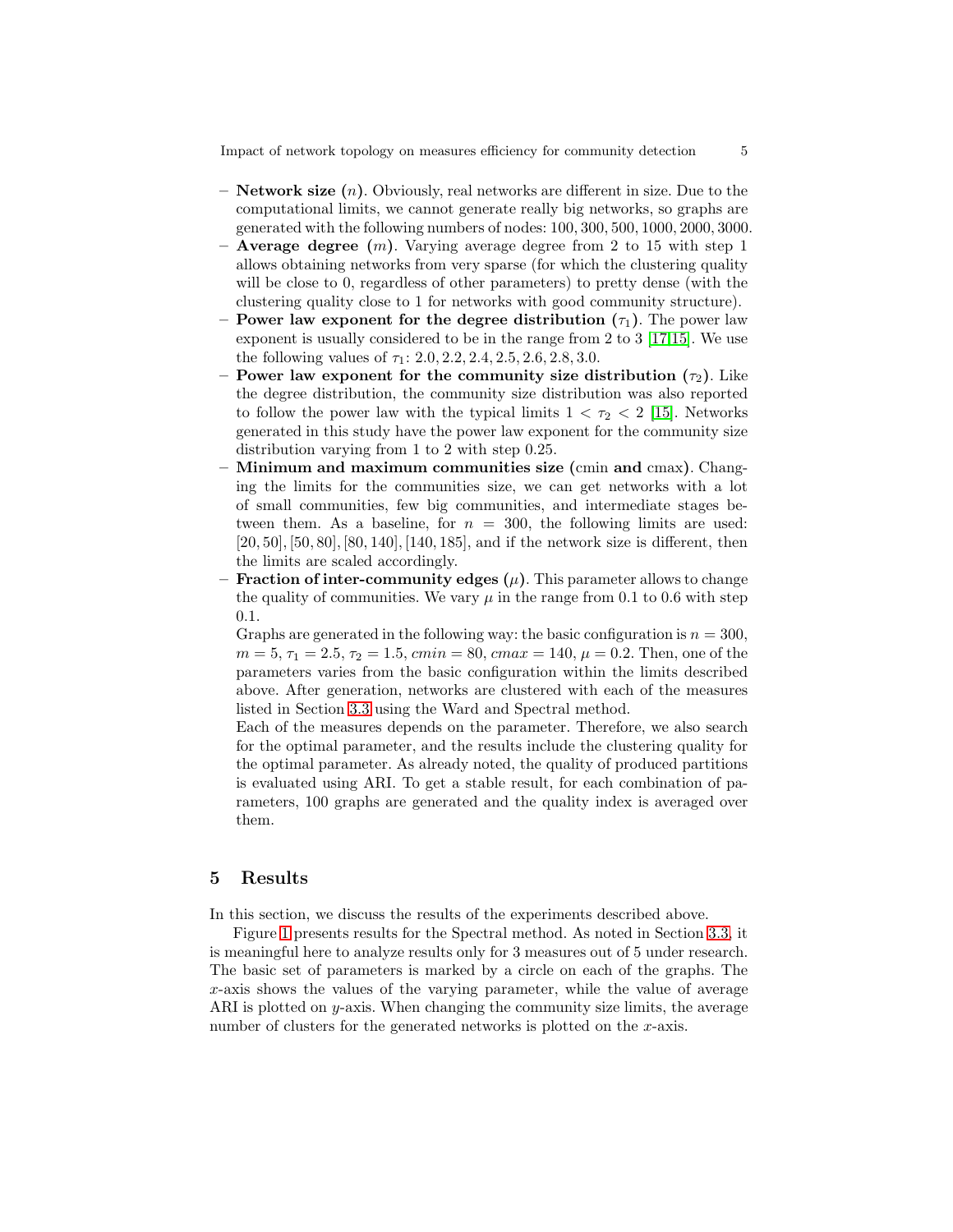Impact of network topology on measures efficiency for community detection 5

- $-$  **Network size**  $(n)$ . Obviously, real networks are different in size. Due to the computational limits, we cannot generate really big networks, so graphs are generated with the following numbers of nodes: 100, 300, 500, 1000, 2000, 3000.
- **Average degree**  $(m)$ . Varying average degree from 2 to 15 with step 1 allows obtaining networks from very sparse (for which the clustering quality will be close to 0, regardless of other parameters) to pretty dense (with the clustering quality close to 1 for networks with good community structure).
- Power law exponent for the degree distribution  $(\tau_1)$ . The power law exponent is usually considered to be in the range from 2 to 3 [\[17,](#page-9-2)[15\]](#page-9-16). We use the following values of  $\tau_1$ : 2.0, 2.2, 2.4, 2.5, 2.6, 2.8, 3.0.
- Power law exponent for the community size distribution  $(\tau_2)$ . Like the degree distribution, the community size distribution was also reported to follow the power law with the typical limits  $1 < \tau_2 < 2$  [\[15\]](#page-9-16). Networks generated in this study have the power law exponent for the community size distribution varying from 1 to 2 with step 0.25.
- $-$  Minimum and maximum communities size (cmin and cmax). Changing the limits for the communities size, we can get networks with a lot of small communities, few big communities, and intermediate stages between them. As a baseline, for  $n = 300$ , the following limits are used: [20, 50], [50, 80], [80, 140], [140, 185], and if the network size is different, then the limits are scaled accordingly.
- **Fraction of inter-community edges**  $(\mu)$ . This parameter allows to change the quality of communities. We vary  $\mu$  in the range from 0.1 to 0.6 with step 0.1.

Graphs are generated in the following way: the basic configuration is  $n = 300$ ,  $m = 5, \tau_1 = 2.5, \tau_2 = 1.5, \text{ } cmin = 80, \text{ } cmax = 140, \mu = 0.2. \text{ Then, one of the}$ parameters varies from the basic configuration within the limits described above. After generation, networks are clustered with each of the measures listed in Section [3.3](#page-2-0) using the Ward and Spectral method.

Each of the measures depends on the parameter. Therefore, we also search for the optimal parameter, and the results include the clustering quality for the optimal parameter. As already noted, the quality of produced partitions is evaluated using ARI. To get a stable result, for each combination of parameters, 100 graphs are generated and the quality index is averaged over them.

### 5 Results

In this section, we discuss the results of the experiments described above.

Figure [1](#page-5-0) presents results for the Spectral method. As noted in Section [3.3,](#page-2-0) it is meaningful here to analyze results only for 3 measures out of 5 under research. The basic set of parameters is marked by a circle on each of the graphs. The x-axis shows the values of the varying parameter, while the value of average ARI is plotted on y-axis. When changing the community size limits, the average number of clusters for the generated networks is plotted on the x-axis.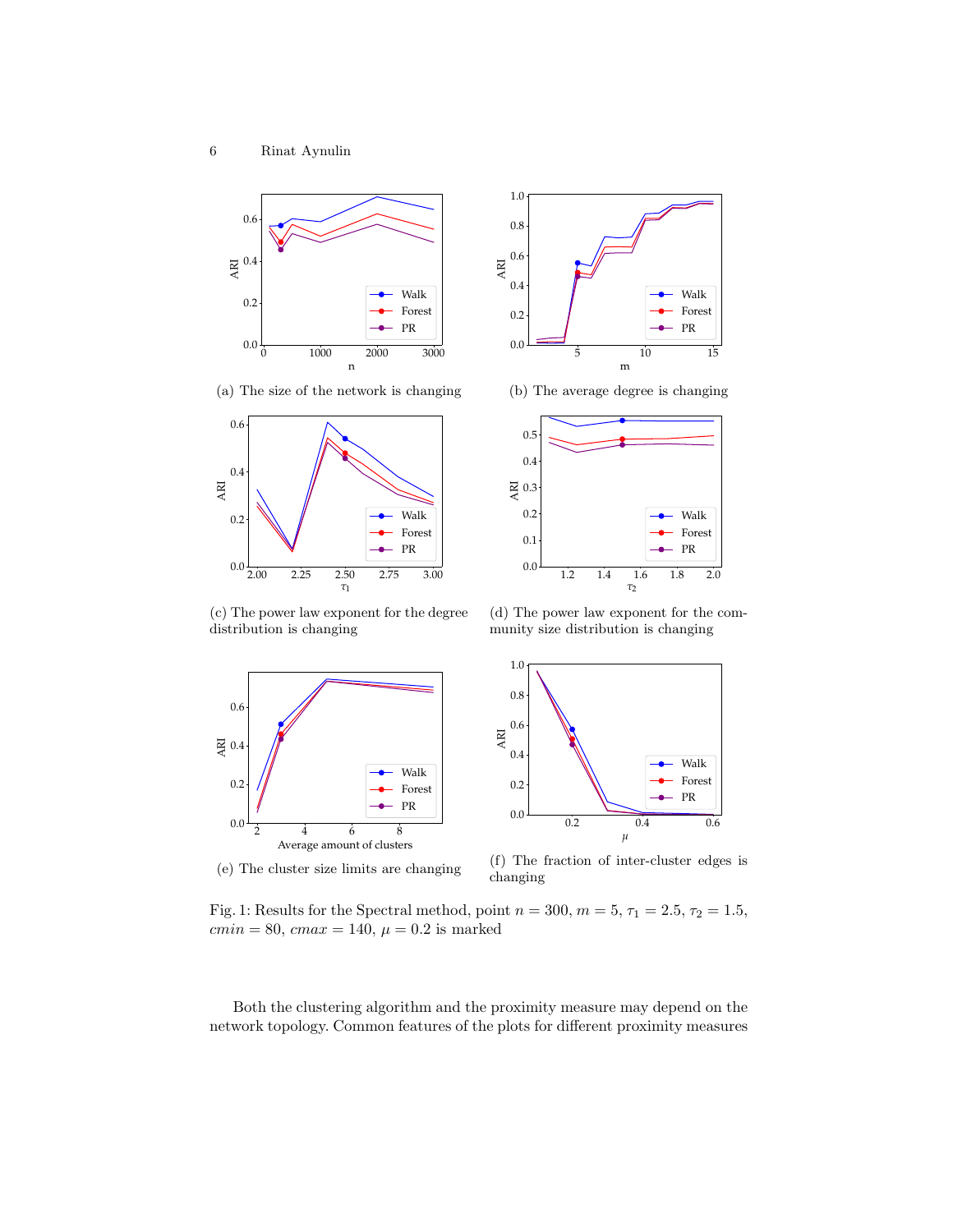<span id="page-5-0"></span>



(a) The size of the network is changing





(b) The average degree is changing

(c) The power law exponent for the degree distribution is changing

(d) The power law exponent for the community size distribution is changing



(e) The cluster size limits are changing

(f) The fraction of inter-cluster edges is changing

Fig. 1: Results for the Spectral method, point  $n = 300$ ,  $m = 5$ ,  $\tau_1 = 2.5$ ,  $\tau_2 = 1.5$ ,  $cmin = 80, cmax = 140, \mu = 0.2$  is marked

Both the clustering algorithm and the proximity measure may depend on the network topology. Common features of the plots for different proximity measures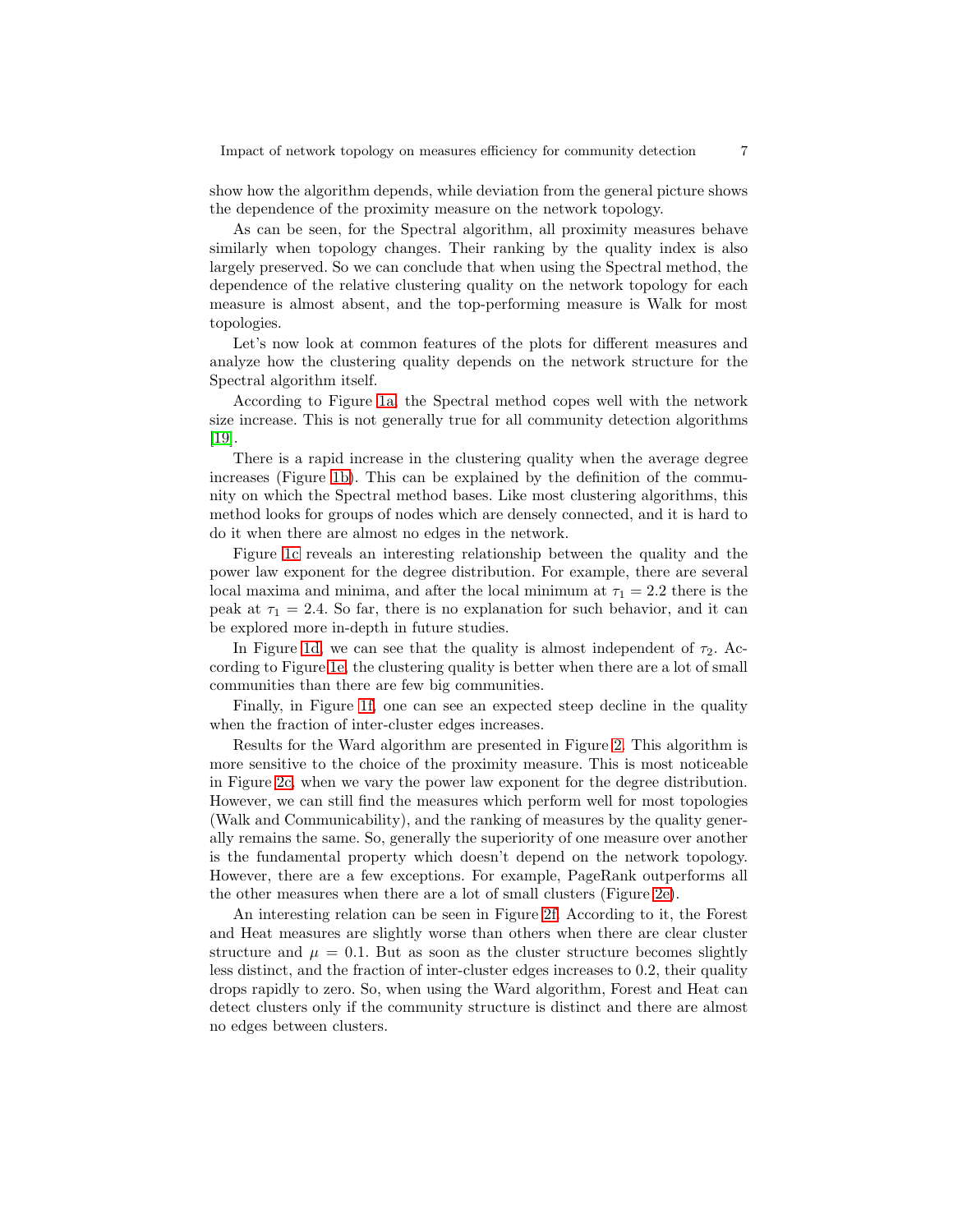show how the algorithm depends, while deviation from the general picture shows the dependence of the proximity measure on the network topology.

As can be seen, for the Spectral algorithm, all proximity measures behave similarly when topology changes. Their ranking by the quality index is also largely preserved. So we can conclude that when using the Spectral method, the dependence of the relative clustering quality on the network topology for each measure is almost absent, and the top-performing measure is Walk for most topologies.

Let's now look at common features of the plots for different measures and analyze how the clustering quality depends on the network structure for the Spectral algorithm itself.

According to Figure [1a,](#page-5-0) the Spectral method copes well with the network size increase. This is not generally true for all community detection algorithms [\[19\]](#page-9-3).

There is a rapid increase in the clustering quality when the average degree increases (Figure [1b\)](#page-5-0). This can be explained by the definition of the community on which the Spectral method bases. Like most clustering algorithms, this method looks for groups of nodes which are densely connected, and it is hard to do it when there are almost no edges in the network.

Figure [1c](#page-5-0) reveals an interesting relationship between the quality and the power law exponent for the degree distribution. For example, there are several local maxima and minima, and after the local minimum at  $\tau_1 = 2.2$  there is the peak at  $\tau_1 = 2.4$ . So far, there is no explanation for such behavior, and it can be explored more in-depth in future studies.

In Figure [1d,](#page-5-0) we can see that the quality is almost independent of  $\tau_2$ . According to Figure [1e,](#page-5-0) the clustering quality is better when there are a lot of small communities than there are few big communities.

Finally, in Figure [1f,](#page-5-0) one can see an expected steep decline in the quality when the fraction of inter-cluster edges increases.

Results for the Ward algorithm are presented in Figure [2.](#page-7-0) This algorithm is more sensitive to the choice of the proximity measure. This is most noticeable in Figure [2c,](#page-7-0) when we vary the power law exponent for the degree distribution. However, we can still find the measures which perform well for most topologies (Walk and Communicability), and the ranking of measures by the quality generally remains the same. So, generally the superiority of one measure over another is the fundamental property which doesn't depend on the network topology. However, there are a few exceptions. For example, PageRank outperforms all the other measures when there are a lot of small clusters (Figure [2e\)](#page-7-0).

An interesting relation can be seen in Figure [2f.](#page-7-0) According to it, the Forest and Heat measures are slightly worse than others when there are clear cluster structure and  $\mu = 0.1$ . But as soon as the cluster structure becomes slightly less distinct, and the fraction of inter-cluster edges increases to 0.2, their quality drops rapidly to zero. So, when using the Ward algorithm, Forest and Heat can detect clusters only if the community structure is distinct and there are almost no edges between clusters.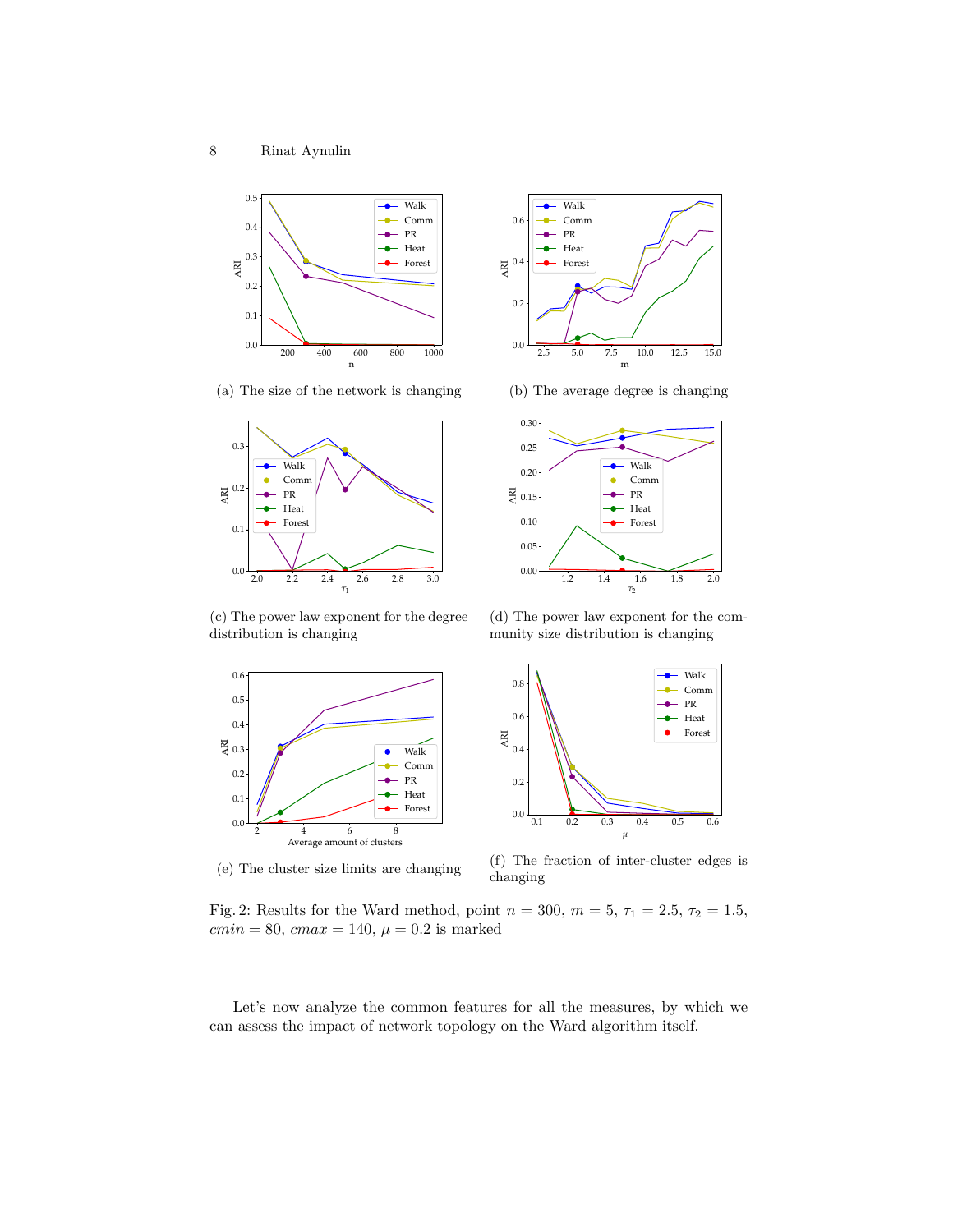<span id="page-7-0"></span>

2.5 5.0 7.5 10.0 12.5 15.0 m PR Heat Forest

Walk Comm

(a) The size of the network is changing



(b) The average degree is changing



(c) The power law exponent for the degree distribution is changing

(d) The power law exponent for the community size distribution is changing



(e) The cluster size limits are changing



(f) The fraction of inter-cluster edges is changing

Fig. 2: Results for the Ward method, point  $n = 300$ ,  $m = 5$ ,  $\tau_1 = 2.5$ ,  $\tau_2 = 1.5$ ,  $cmin = 80, cmax = 140, \mu = 0.2$  is marked

Let's now analyze the common features for all the measures, by which we can assess the impact of network topology on the Ward algorithm itself.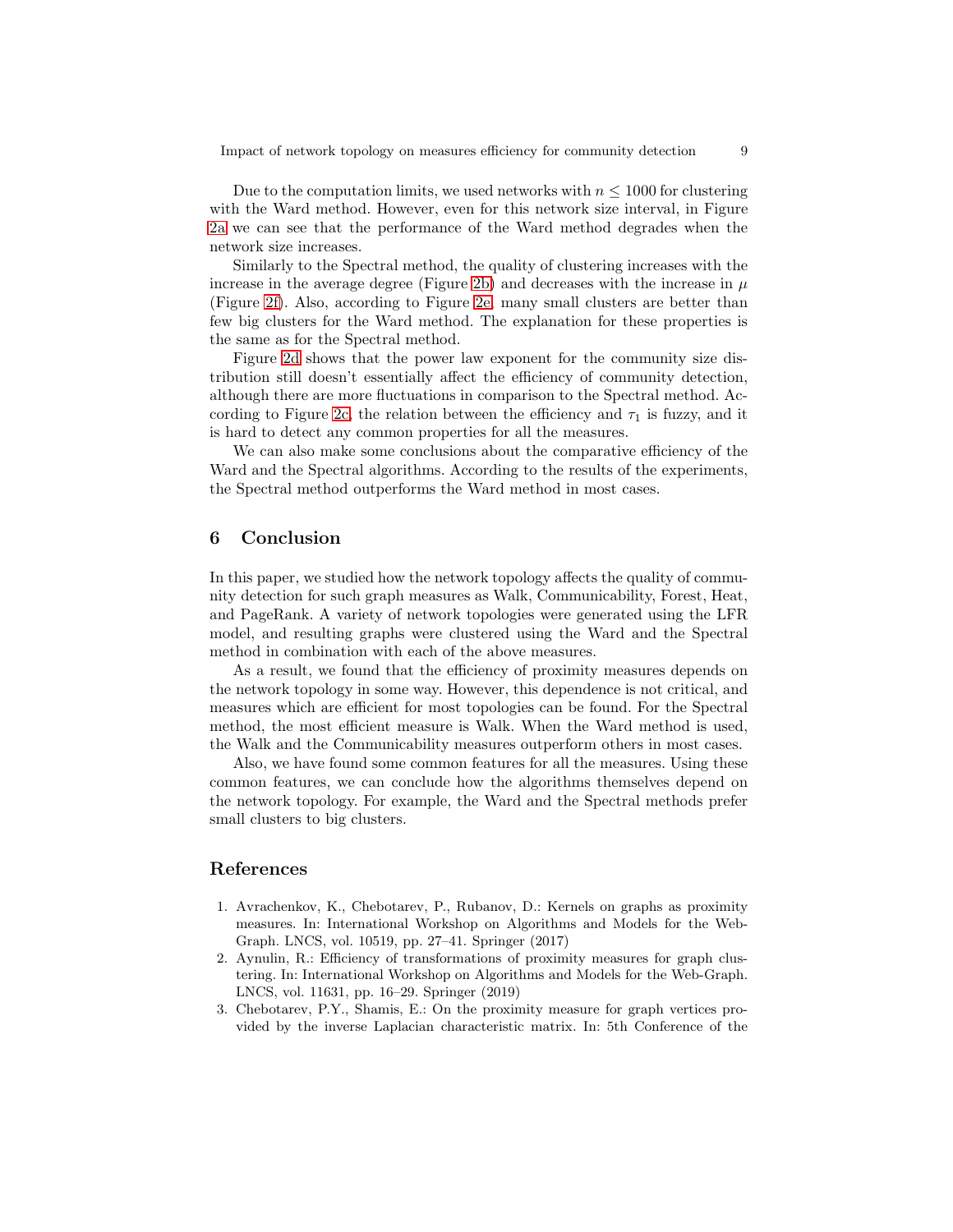Due to the computation limits, we used networks with  $n \leq 1000$  for clustering with the Ward method. However, even for this network size interval, in Figure [2a](#page-7-0) we can see that the performance of the Ward method degrades when the network size increases.

Similarly to the Spectral method, the quality of clustering increases with the increase in the average degree (Figure [2b\)](#page-7-0) and decreases with the increase in  $\mu$ (Figure [2f\)](#page-7-0). Also, according to Figure [2e,](#page-7-0) many small clusters are better than few big clusters for the Ward method. The explanation for these properties is the same as for the Spectral method.

Figure [2d](#page-7-0) shows that the power law exponent for the community size distribution still doesn't essentially affect the efficiency of community detection, although there are more fluctuations in comparison to the Spectral method. Ac-cording to Figure [2c,](#page-7-0) the relation between the efficiency and  $\tau_1$  is fuzzy, and it is hard to detect any common properties for all the measures.

We can also make some conclusions about the comparative efficiency of the Ward and the Spectral algorithms. According to the results of the experiments, the Spectral method outperforms the Ward method in most cases.

# 6 Conclusion

In this paper, we studied how the network topology affects the quality of community detection for such graph measures as Walk, Communicability, Forest, Heat, and PageRank. A variety of network topologies were generated using the LFR model, and resulting graphs were clustered using the Ward and the Spectral method in combination with each of the above measures.

As a result, we found that the efficiency of proximity measures depends on the network topology in some way. However, this dependence is not critical, and measures which are efficient for most topologies can be found. For the Spectral method, the most efficient measure is Walk. When the Ward method is used, the Walk and the Communicability measures outperform others in most cases.

Also, we have found some common features for all the measures. Using these common features, we can conclude how the algorithms themselves depend on the network topology. For example, the Ward and the Spectral methods prefer small clusters to big clusters.

## References

- <span id="page-8-1"></span>1. Avrachenkov, K., Chebotarev, P., Rubanov, D.: Kernels on graphs as proximity measures. In: International Workshop on Algorithms and Models for the Web-Graph. LNCS, vol. 10519, pp. 27–41. Springer (2017)
- <span id="page-8-0"></span>2. Aynulin, R.: Efficiency of transformations of proximity measures for graph clustering. In: International Workshop on Algorithms and Models for the Web-Graph. LNCS, vol. 11631, pp. 16–29. Springer (2019)
- <span id="page-8-2"></span>3. Chebotarev, P.Y., Shamis, E.: On the proximity measure for graph vertices provided by the inverse Laplacian characteristic matrix. In: 5th Conference of the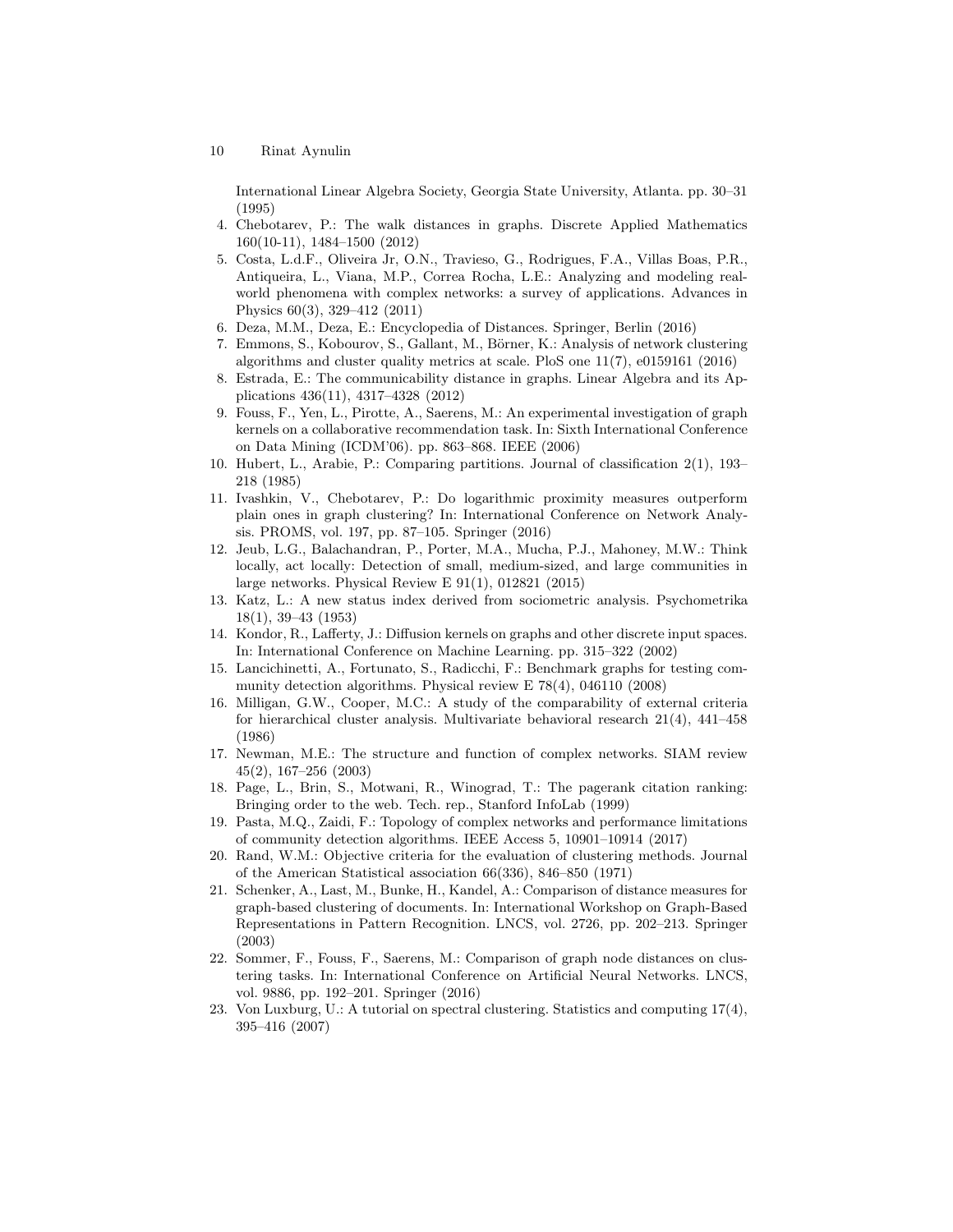10 Rinat Aynulin

International Linear Algebra Society, Georgia State University, Atlanta. pp. 30–31 (1995)

- <span id="page-9-10"></span><span id="page-9-0"></span>4. Chebotarev, P.: The walk distances in graphs. Discrete Applied Mathematics 160(10-11), 1484–1500 (2012)
- 5. Costa, L.d.F., Oliveira Jr, O.N., Travieso, G., Rodrigues, F.A., Villas Boas, P.R., Antiqueira, L., Viana, M.P., Correa Rocha, L.E.: Analyzing and modeling realworld phenomena with complex networks: a survey of applications. Advances in Physics 60(3), 329–412 (2011)
- <span id="page-9-7"></span><span id="page-9-1"></span>6. Deza, M.M., Deza, E.: Encyclopedia of Distances. Springer, Berlin (2016)
- 7. Emmons, S., Kobourov, S., Gallant, M., Börner, K.: Analysis of network clustering algorithms and cluster quality metrics at scale. PloS one 11(7), e0159161 (2016)
- <span id="page-9-12"></span>8. Estrada, E.: The communicability distance in graphs. Linear Algebra and its Applications 436(11), 4317–4328 (2012)
- <span id="page-9-13"></span>9. Fouss, F., Yen, L., Pirotte, A., Saerens, M.: An experimental investigation of graph kernels on a collaborative recommendation task. In: Sixth International Conference on Data Mining (ICDM'06). pp. 863–868. IEEE (2006)
- <span id="page-9-17"></span>10. Hubert, L., Arabie, P.: Comparing partitions. Journal of classification 2(1), 193– 218 (1985)
- <span id="page-9-6"></span>11. Ivashkin, V., Chebotarev, P.: Do logarithmic proximity measures outperform plain ones in graph clustering? In: International Conference on Network Analysis. PROMS, vol. 197, pp. 87–105. Springer (2016)
- <span id="page-9-8"></span>12. Jeub, L.G., Balachandran, P., Porter, M.A., Mucha, P.J., Mahoney, M.W.: Think locally, act locally: Detection of small, medium-sized, and large communities in large networks. Physical Review E 91(1), 012821 (2015)
- <span id="page-9-11"></span>13. Katz, L.: A new status index derived from sociometric analysis. Psychometrika 18(1), 39–43 (1953)
- <span id="page-9-14"></span>14. Kondor, R., Lafferty, J.: Diffusion kernels on graphs and other discrete input spaces. In: International Conference on Machine Learning. pp. 315–322 (2002)
- <span id="page-9-16"></span>15. Lancichinetti, A., Fortunato, S., Radicchi, F.: Benchmark graphs for testing community detection algorithms. Physical review E 78(4), 046110 (2008)
- <span id="page-9-18"></span>16. Milligan, G.W., Cooper, M.C.: A study of the comparability of external criteria for hierarchical cluster analysis. Multivariate behavioral research 21(4), 441–458 (1986)
- <span id="page-9-2"></span>17. Newman, M.E.: The structure and function of complex networks. SIAM review 45(2), 167–256 (2003)
- <span id="page-9-15"></span>18. Page, L., Brin, S., Motwani, R., Winograd, T.: The pagerank citation ranking: Bringing order to the web. Tech. rep., Stanford InfoLab (1999)
- <span id="page-9-3"></span>19. Pasta, M.Q., Zaidi, F.: Topology of complex networks and performance limitations of community detection algorithms. IEEE Access 5, 10901–10914 (2017)
- <span id="page-9-19"></span>20. Rand, W.M.: Objective criteria for the evaluation of clustering methods. Journal of the American Statistical association 66(336), 846–850 (1971)
- <span id="page-9-5"></span>21. Schenker, A., Last, M., Bunke, H., Kandel, A.: Comparison of distance measures for graph-based clustering of documents. In: International Workshop on Graph-Based Representations in Pattern Recognition. LNCS, vol. 2726, pp. 202–213. Springer (2003)
- <span id="page-9-4"></span>22. Sommer, F., Fouss, F., Saerens, M.: Comparison of graph node distances on clustering tasks. In: International Conference on Artificial Neural Networks. LNCS, vol. 9886, pp. 192–201. Springer (2016)
- <span id="page-9-9"></span>23. Von Luxburg, U.: A tutorial on spectral clustering. Statistics and computing 17(4), 395–416 (2007)